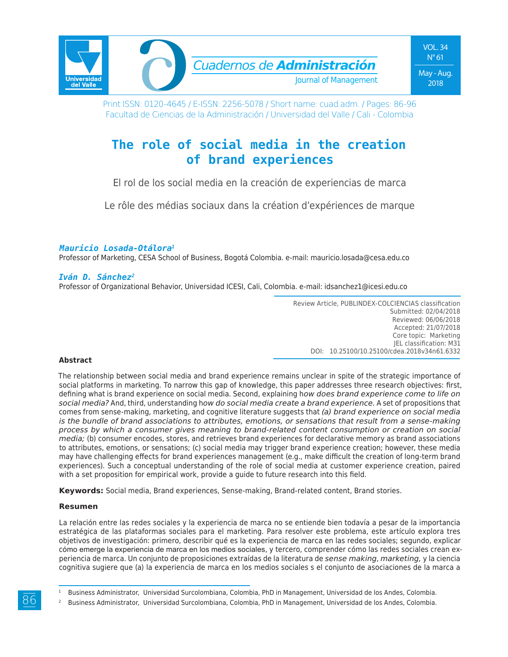

Print ISSN: 0120-4645 / E-ISSN: 2256-5078 / Short name: cuad.adm. / Pages: 86-96 Facultad de Ciencias de la Administración / Universidad del Valle / Cali - Colombia

# **The role of social media in the creation of brand experiences**

El rol de los social media en la creación de experiencias de marca

Le rôle des médias sociaux dans la création d'expériences de marque

### *Mauricio Losada-Otálora1*

Professor of Marketing, CESA School of Business, Bogotá Colombia. e-mail: mauricio.losada@cesa.edu.co

### *Iván D. Sánchez2*

Professor of Organizational Behavior, Universidad ICESI, Cali, Colombia. e-mail: idsanchez1@icesi.edu.co

Review Article, PUBLINDEX-COLCIENCIAS classification Submitted: 02/04/2018 Reviewed: 06/06/2018 Accepted: 21/07/2018 Core topic: Marketing JEL classification: M31 DOI: 10.25100/10.25100/cdea.2018v34n61.6332

#### **Abstract**

The relationship between social media and brand experience remains unclear in spite of the strategic importance of social platforms in marketing. To narrow this gap of knowledge, this paper addresses three research objectives: first, defining what is brand experience on social media. Second, explaining h*ow does brand experience come to life on social media?* And, third, understanding h*ow do social media create a brand experience.* A set of propositions that comes from sense-making, marketing, and cognitive literature suggests that *(a) brand experience on social media is the bundle of brand associations to attributes, emotions, or sensations that result from a sense-making process by which a consumer gives meaning to brand-related content consumption or creation on social media;* (b) consumer encodes, stores, and retrieves brand experiences for declarative memory as brand associations to attributes, emotions, or sensations; (c) social media may trigger brand experience creation; however, these media may have challenging effects for brand experiences management (e.g., make difficult the creation of long-term brand experiences). Such a conceptual understanding of the role of social media at customer experience creation, paired with a set proposition for empirical work, provide a guide to future research into this field.

**Keywords:** Social media, Brand experiences, Sense-making, Brand-related content, Brand stories.

#### **Resumen**

La relación entre las redes sociales y la experiencia de marca no se entiende bien todavía a pesar de la importancia estratégica de las plataformas sociales para el marketing. Para resolver este problema, este artículo explora tres objetivos de investigación: primero, describir qué es la experiencia de marca en las redes sociales; segundo, explicar cómo emerge la experiencia de marca en los medios sociales, y tercero, comprender cómo las redes sociales crean experiencia de marca. Un conjunto de proposiciones extraídas de la literatura de *sense making*, *marketing,* y la ciencia cognitiva sugiere que (a) la experiencia de marca en los medios sociales s el conjunto de asociaciones de la marca a

<sup>1</sup> Business Administrator, Universidad Surcolombiana, Colombia, PhD in Management, Universidad de los Andes, Colombia.

<sup>2</sup> Business Administrator, Universidad Surcolombiana, Colombia, PhD in Management, Universidad de los Andes, Colombia.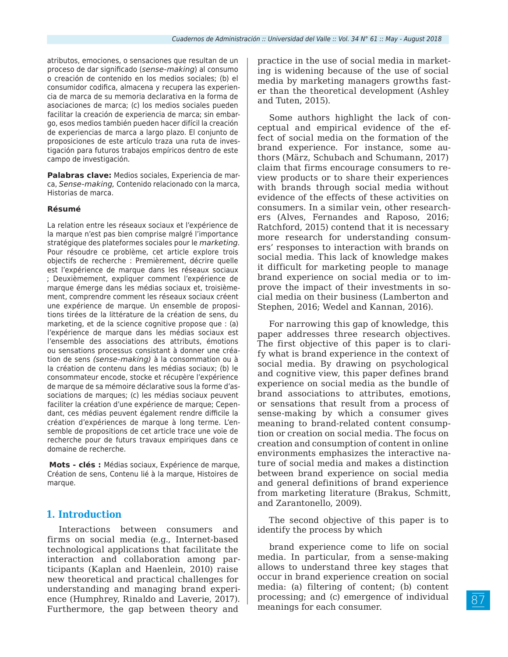atributos, emociones, o sensaciones que resultan de un proceso de dar significado (*sense-making*) al consumo o creación de contenido en los medios sociales; (b) el consumidor codifica, almacena y recupera las experiencia de marca de su memoria declarativa en la forma de asociaciones de marca; (c) los medios sociales pueden facilitar la creación de experiencia de marca; sin embargo, esos medios también pueden hacer difícil la creación de experiencias de marca a largo plazo. El conjunto de proposiciones de este artículo traza una ruta de investigación para futuros trabajos empíricos dentro de este campo de investigación.

**Palabras clave:** Medios sociales, Experiencia de marca, *Sense-making,* Contenido relacionado con la marca, Historias de marca.

#### **Résumé**

La relation entre les réseaux sociaux et l'expérience de la marque n'est pas bien comprise malgré l'importance stratégique des plateformes sociales pour le *marketing*. Pour résoudre ce problème, cet article explore trois objectifs de recherche : Premièrement, décrire quelle est l'expérience de marque dans les réseaux sociaux ; Deuxièmement, expliquer comment l'expérience de marque émerge dans les médias sociaux et, troisièmement, comprendre comment les réseaux sociaux créent une expérience de marque. Un ensemble de propositions tirées de la littérature de la création de sens, du marketing, et de la science cognitive propose que : (a) l'expérience de marque dans les médias sociaux est l'ensemble des associations des attributs, émotions ou sensations processus consistant à donner une création de sens *(sense-making)* à la consommation ou à la création de contenu dans les médias sociaux; (b) le consommateur encode, stocke et récupère l'expérience de marque de sa mémoire déclarative sous la forme d'associations de marques; (c) les médias sociaux peuvent faciliter la création d'une expérience de marque; Cependant, ces médias peuvent également rendre difficile la création d'expériences de marque à long terme. L'ensemble de propositions de cet article trace une voie de recherche pour de futurs travaux empiriques dans ce domaine de recherche.

**Mots - clés :** Médias sociaux, Expérience de marque, Création de sens, Contenu lié à la marque, Histoires de marque.

### **1. Introduction**

Interactions between consumers and firms on social media (e.g., Internet-based technological applications that facilitate the interaction and collaboration among participants (Kaplan and Haenlein, 2010) raise new theoretical and practical challenges for understanding and managing brand experience (Humphrey, Rinaldo and Laverie, 2017). Furthermore, the gap between theory and

practice in the use of social media in marketing is widening because of the use of social media by marketing managers growths faster than the theoretical development (Ashley and Tuten, 2015).

Some authors highlight the lack of conceptual and empirical evidence of the effect of social media on the formation of the brand experience. For instance, some authors (März, Schubach and Schumann, 2017) claim that firms encourage consumers to review products or to share their experiences with brands through social media without evidence of the effects of these activities on consumers. In a similar vein, other researchers (Alves, Fernandes and Raposo, 2016; Ratchford, 2015) contend that it is necessary more research for understanding consumers' responses to interaction with brands on social media. This lack of knowledge makes it difficult for marketing people to manage brand experience on social media or to improve the impact of their investments in social media on their business (Lamberton and Stephen, 2016; Wedel and Kannan, 2016).

For narrowing this gap of knowledge, this paper addresses three research objectives. The first objective of this paper is to clarify what is brand experience in the context of social media. By drawing on psychological and cognitive view, this paper defines brand experience on social media as the bundle of brand associations to attributes, emotions, or sensations that result from a process of sense-making by which a consumer gives meaning to brand-related content consumption or creation on social media. The focus on creation and consumption of content in online environments emphasizes the interactive nature of social media and makes a distinction between brand experience on social media and general definitions of brand experience from marketing literature (Brakus, Schmitt, and Zarantonello, 2009).

The second objective of this paper is to identify the process by which

brand experience come to life on social media. In particular, from a sense-making allows to understand three key stages that occur in brand experience creation on social media: (a) filtering of content; (b) content processing; and (c) emergence of individual meanings for each consumer.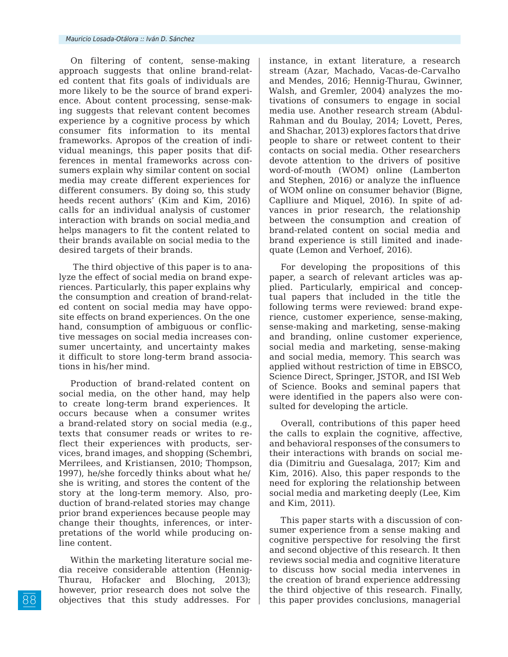On filtering of content, sense-making approach suggests that online brand-related content that fits goals of individuals are more likely to be the source of brand experience. About content processing, sense-making suggests that relevant content becomes experience by a cognitive process by which consumer fits information to its mental frameworks. Apropos of the creation of individual meanings, this paper posits that differences in mental frameworks across consumers explain why similar content on social media may create different experiences for different consumers. By doing so, this study heeds recent authors' (Kim and Kim, 2016) calls for an individual analysis of customer interaction with brands on social media and helps managers to fit the content related to their brands available on social media to the desired targets of their brands.

 The third objective of this paper is to analyze the effect of social media on brand experiences. Particularly, this paper explains why the consumption and creation of brand-related content on social media may have opposite effects on brand experiences. On the one hand, consumption of ambiguous or conflictive messages on social media increases consumer uncertainty, and uncertainty makes it difficult to store long-term brand associations in his/her mind.

Production of brand-related content on social media, on the other hand, may help to create long-term brand experiences. It occurs because when a consumer writes a brand-related story on social media (e.g., texts that consumer reads or writes to reflect their experiences with products, services, brand images, and shopping (Schembri, Merrilees, and Kristiansen, 2010; Thompson, 1997), he/she forcedly thinks about what he/ she is writing, and stores the content of the story at the long-term memory. Also, production of brand-related stories may change prior brand experiences because people may change their thoughts, inferences, or interpretations of the world while producing online content.

Within the marketing literature social media receive considerable attention (Hennig-Thurau, Hofacker and Bloching, 2013); however, prior research does not solve the objectives that this study addresses. For

instance, in extant literature, a research stream (Azar, Machado, Vacas-de-Carvalho and Mendes, 2016; Hennig-Thurau, Gwinner, Walsh, and Gremler, 2004) analyzes the motivations of consumers to engage in social media use. Another research stream (Abdul-Rahman and du Boulay, 2014; Lovett, Peres, and Shachar, 2013) explores factors that drive people to share or retweet content to their contacts on social media. Other researchers devote attention to the drivers of positive word-of-mouth (WOM) online (Lamberton and Stephen, 2016) or analyze the influence of WOM online on consumer behavior (Bigne, Caplliure and Miquel, 2016). In spite of advances in prior research, the relationship between the consumption and creation of brand-related content on social media and brand experience is still limited and inadequate (Lemon and Verhoef, 2016).

For developing the propositions of this paper, a search of relevant articles was applied. Particularly, empirical and conceptual papers that included in the title the following terms were reviewed: brand experience, customer experience, sense-making, sense-making and marketing, sense-making and branding, online customer experience, social media and marketing, sense-making and social media, memory. This search was applied without restriction of time in EBSCO, Science Direct, Springer, JSTOR, and ISI Web of Science. Books and seminal papers that were identified in the papers also were consulted for developing the article.

Overall, contributions of this paper heed the calls to explain the cognitive, affective, and behavioral responses of the consumers to their interactions with brands on social media (Dimitriu and Guesalaga, 2017; Kim and Kim, 2016). Also, this paper responds to the need for exploring the relationship between social media and marketing deeply (Lee, Kim and Kim, 2011).

This paper starts with a discussion of consumer experience from a sense making and cognitive perspective for resolving the first and second objective of this research. It then reviews social media and cognitive literature to discuss how social media intervenes in the creation of brand experience addressing the third objective of this research. Finally, this paper provides conclusions, managerial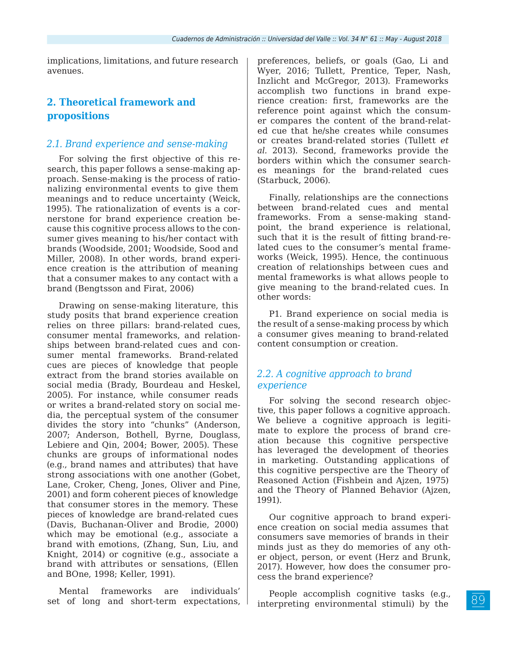implications, limitations, and future research avenues.

## **2. Theoretical framework and propositions**

### *2.1. Brand experience and sense-making*

For solving the first objective of this research, this paper follows a sense-making approach. Sense-making is the process of rationalizing environmental events to give them meanings and to reduce uncertainty (Weick, 1995). The rationalization of events is a cornerstone for brand experience creation because this cognitive process allows to the consumer gives meaning to his/her contact with brands (Woodside, 2001; Woodside, Sood and Miller, 2008). In other words, brand experience creation is the attribution of meaning that a consumer makes to any contact with a brand (Bengtsson and Firat, 2006)

Drawing on sense-making literature, this study posits that brand experience creation relies on three pillars: brand-related cues, consumer mental frameworks, and relationships between brand-related cues and consumer mental frameworks. Brand-related cues are pieces of knowledge that people extract from the brand stories available on social media (Brady, Bourdeau and Heskel, 2005). For instance, while consumer reads or writes a brand-related story on social media, the perceptual system of the consumer divides the story into "chunks" (Anderson, 2007; Anderson, Bothell, Byrne, Douglass, Lebiere and Qin, 2004; Bower, 2005). These chunks are groups of informational nodes (e.g., brand names and attributes) that have strong associations with one another (Gobet, Lane, Croker, Cheng, Jones, Oliver and Pine, 2001) and form coherent pieces of knowledge that consumer stores in the memory. These pieces of knowledge are brand-related cues (Davis, Buchanan-Oliver and Brodie, 2000) which may be emotional (e.g., associate a brand with emotions, (Zhang, Sun, Liu, and Knight, 2014) or cognitive (e.g., associate a brand with attributes or sensations, (Ellen and BOne, 1998; Keller, 1991).

Mental frameworks are individuals' set of long and short-term expectations, preferences, beliefs, or goals (Gao, Li and Wyer, 2016; Tullett, Prentice, Teper, Nash, Inzlicht and McGregor, 2013). Frameworks accomplish two functions in brand experience creation: first, frameworks are the reference point against which the consumer compares the content of the brand-related cue that he/she creates while consumes or creates brand-related stories (Tullett *et al.* 2013). Second, frameworks provide the borders within which the consumer searches meanings for the brand-related cues (Starbuck, 2006).

Finally, relationships are the connections between brand-related cues and mental frameworks. From a sense-making standpoint, the brand experience is relational, such that it is the result of fitting brand-related cues to the consumer's mental frameworks (Weick, 1995). Hence, the continuous creation of relationships between cues and mental frameworks is what allows people to give meaning to the brand-related cues. In other words:

P1. Brand experience on social media is the result of a sense-making process by which a consumer gives meaning to brand-related content consumption or creation.

### *2.2. A cognitive approach to brand experience*

For solving the second research objective, this paper follows a cognitive approach. We believe a cognitive approach is legitimate to explore the process of brand creation because this cognitive perspective has leveraged the development of theories in marketing. Outstanding applications of this cognitive perspective are the Theory of Reasoned Action (Fishbein and Ajzen, 1975) and the Theory of Planned Behavior (Ajzen, 1991).

Our cognitive approach to brand experience creation on social media assumes that consumers save memories of brands in their minds just as they do memories of any other object, person, or event (Herz and Brunk, 2017). However, how does the consumer process the brand experience?

People accomplish cognitive tasks (e.g., interpreting environmental stimuli) by the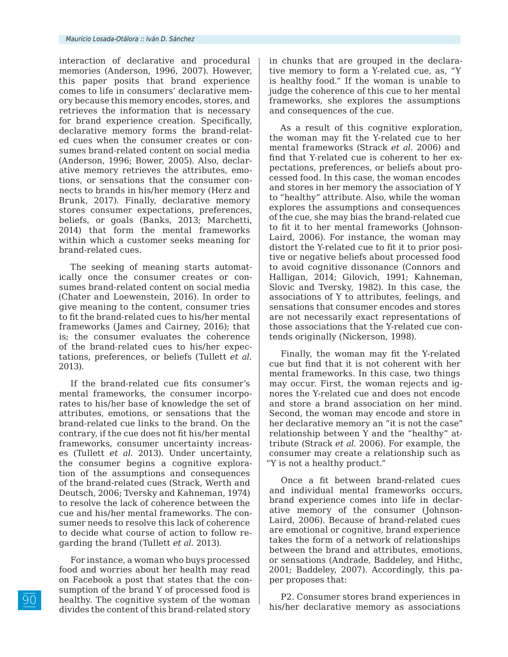interaction of declarative and procedural memories (Anderson, 1996, 2007). However, this paper posits that brand experience comes to life in consumers' declarative memory because this memory encodes, stores, and retrieves the information that is necessary for brand experience creation. Specifically, declarative memory forms the brand-related cues when the consumer creates or consumes brand-related content on social media (Anderson, 1996; Bower, 2005). Also, declarative memory retrieves the attributes, emotions, or sensations that the consumer connects to brands in his/her memory (Herz and Brunk, 2017). Finally, declarative memory stores consumer expectations, preferences, beliefs, or goals (Banks, 2013; Marchetti, 2014) that form the mental frameworks within which a customer seeks meaning for brand-related cues.

The seeking of meaning starts automatically once the consumer creates or consumes brand-related content on social media (Chater and Loewenstein, 2016). In order to give meaning to the content, consumer tries to fit the brand-related cues to his/her mental frameworks (James and Cairney, 2016); that is; the consumer evaluates the coherence of the brand-related cues to his/her expectations, preferences, or beliefs (Tullett *et al.* 2013).

If the brand-related cue fits consumer's mental frameworks, the consumer incorporates to his/her base of knowledge the set of attributes, emotions, or sensations that the brand-related cue links to the brand. On the contrary, if the cue does not fit his/her mental frameworks, consumer uncertainty increases (Tullett *et al.* 2013). Under uncertainty, the consumer begins a cognitive exploration of the assumptions and consequences of the brand-related cues (Strack, Werth and Deutsch, 2006; Tversky and Kahneman, 1974) to resolve the lack of coherence between the cue and his/her mental frameworks. The consumer needs to resolve this lack of coherence to decide what course of action to follow regarding the brand (Tullett *et al.* 2013).

For instance, a woman who buys processed food and worries about her health may read on Facebook a post that states that the consumption of the brand Y of processed food is healthy. The cognitive system of the woman divides the content of this brand-related story

in chunks that are grouped in the declarative memory to form a Y-related cue, as, "Y is healthy food." If the woman is unable to judge the coherence of this cue to her mental frameworks, she explores the assumptions and consequences of the cue.

As a result of this cognitive exploration, the woman may fit the Y-related cue to her mental frameworks (Strack *et al.* 2006) and find that Y-related cue is coherent to her expectations, preferences, or beliefs about processed food. In this case, the woman encodes and stores in her memory the association of Y to "healthy" attribute. Also, while the woman explores the assumptions and consequences of the cue, she may bias the brand-related cue to fit it to her mental frameworks (Johnson-Laird, 2006). For instance, the woman may distort the Y-related cue to fit it to prior positive or negative beliefs about processed food to avoid cognitive dissonance (Connors and Halligan, 2014; Gilovich, 1991; Kahneman, Slovic and Tversky, 1982). In this case, the associations of Y to attributes, feelings, and sensations that consumer encodes and stores are not necessarily exact representations of those associations that the Y-related cue contends originally (Nickerson, 1998).

Finally, the woman may fit the Y-related cue but find that it is not coherent with her mental frameworks. In this case, two things may occur. First, the woman rejects and ignores the Y-related cue and does not encode and store a brand association on her mind. Second, the woman may encode and store in her declarative memory an "it is not the case" relationship between Y and the "healthy" attribute (Strack *et al.* 2006). For example, the consumer may create a relationship such as "Y is not a healthy product."

Once a fit between brand-related cues and individual mental frameworks occurs, brand experience comes into life in declarative memory of the consumer (Johnson-Laird, 2006). Because of brand-related cues are emotional or cognitive, brand experience takes the form of a network of relationships between the brand and attributes, emotions, or sensations (Andrade, Baddeley, and Hithc, 2001; Baddeley, 2007). Accordingly, this paper proposes that:

P2. Consumer stores brand experiences in his/her declarative memory as associations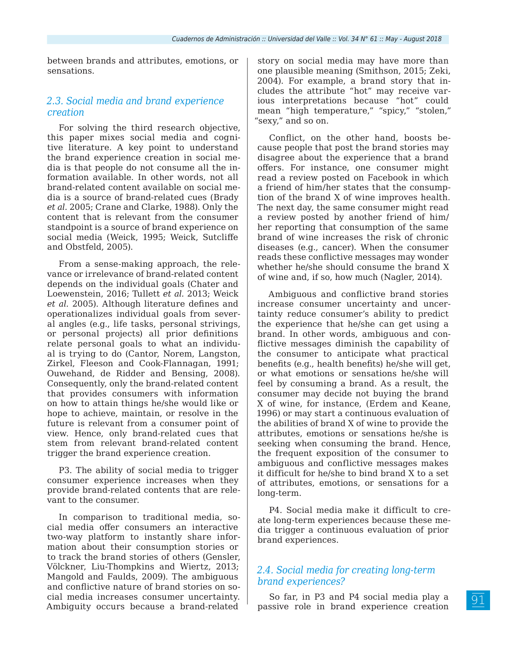between brands and attributes, emotions, or sensations.

### *2.3. Social media and brand experience creation*

For solving the third research objective, this paper mixes social media and cognitive literature. A key point to understand the brand experience creation in social media is that people do not consume all the information available. In other words, not all brand-related content available on social media is a source of brand-related cues (Brady *et al.* 2005; Crane and Clarke, 1988). Only the content that is relevant from the consumer standpoint is a source of brand experience on social media (Weick, 1995; Weick, Sutcliffe and Obstfeld, 2005).

From a sense-making approach, the relevance or irrelevance of brand-related content depends on the individual goals (Chater and Loewenstein, 2016; Tullett *et al.* 2013; Weick *et al.* 2005). Although literature defines and operationalizes individual goals from several angles (e.g., life tasks, personal strivings, or personal projects) all prior definitions relate personal goals to what an individual is trying to do (Cantor, Norem, Langston, Zirkel, Fleeson and Cook-Flannagan, 1991; Ouwehand, de Ridder and Bensing, 2008). Consequently, only the brand-related content that provides consumers with information on how to attain things he/she would like or hope to achieve, maintain, or resolve in the future is relevant from a consumer point of view. Hence, only brand-related cues that stem from relevant brand-related content trigger the brand experience creation.

P3. The ability of social media to trigger consumer experience increases when they provide brand-related contents that are relevant to the consumer.

In comparison to traditional media, social media offer consumers an interactive two-way platform to instantly share information about their consumption stories or to track the brand stories of others (Gensler, Völckner, Liu-Thompkins and Wiertz, 2013; Mangold and Faulds, 2009). The ambiguous and conflictive nature of brand stories on social media increases consumer uncertainty. Ambiguity occurs because a brand-related

story on social media may have more than one plausible meaning (Smithson, 2015; Zeki, 2004). For example, a brand story that includes the attribute "hot" may receive various interpretations because "hot" could mean "high temperature," "spicy," "stolen," "sexy," and so on.

Conflict, on the other hand, boosts because people that post the brand stories may disagree about the experience that a brand offers. For instance, one consumer might read a review posted on Facebook in which a friend of him/her states that the consumption of the brand X of wine improves health. The next day, the same consumer might read a review posted by another friend of him/ her reporting that consumption of the same brand of wine increases the risk of chronic diseases (e.g., cancer). When the consumer reads these conflictive messages may wonder whether he/she should consume the brand X of wine and, if so, how much (Nagler, 2014).

Ambiguous and conflictive brand stories increase consumer uncertainty and uncertainty reduce consumer's ability to predict the experience that he/she can get using a brand. In other words, ambiguous and conflictive messages diminish the capability of the consumer to anticipate what practical benefits (e.g., health benefits) he/she will get, or what emotions or sensations he/she will feel by consuming a brand. As a result, the consumer may decide not buying the brand X of wine, for instance, (Erdem and Keane, 1996) or may start a continuous evaluation of the abilities of brand X of wine to provide the attributes, emotions or sensations he/she is seeking when consuming the brand. Hence, the frequent exposition of the consumer to ambiguous and conflictive messages makes it difficult for he/she to bind brand X to a set of attributes, emotions, or sensations for a long-term.

P4. Social media make it difficult to create long-term experiences because these media trigger a continuous evaluation of prior brand experiences.

### *2.4. Social media for creating long-term brand experiences?*

So far, in P3 and P4 social media play a passive role in brand experience creation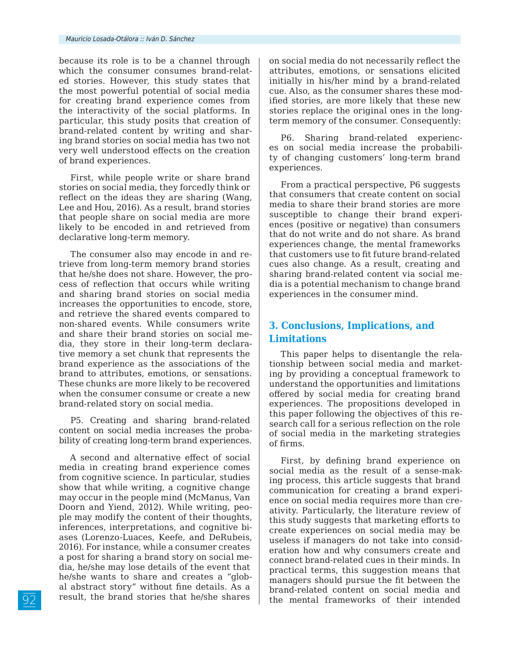because its role is to be a channel through which the consumer consumes brand-related stories. However, this study states that the most powerful potential of social media for creating brand experience comes from the interactivity of the social platforms. In particular, this study posits that creation of brand-related content by writing and sharing brand stories on social media has two not very well understood effects on the creation of brand experiences.

First, while people write or share brand stories on social media, they forcedly think or reflect on the ideas they are sharing (Wang, Lee and Hou, 2016). As a result, brand stories that people share on social media are more likely to be encoded in and retrieved from declarative long-term memory.

The consumer also may encode in and retrieve from long-term memory brand stories that he/she does not share. However, the process of reflection that occurs while writing and sharing brand stories on social media increases the opportunities to encode, store, and retrieve the shared events compared to non-shared events. While consumers write and share their brand stories on social media, they store in their long-term declarative memory a set chunk that represents the brand experience as the associations of the brand to attributes, emotions, or sensations. These chunks are more likely to be recovered when the consumer consume or create a new brand-related story on social media.

P5. Creating and sharing brand-related content on social media increases the probability of creating long-term brand experiences.

A second and alternative effect of social media in creating brand experience comes from cognitive science. In particular, studies show that while writing, a cognitive change may occur in the people mind (McManus, Van Doorn and Yiend, 2012). While writing, people may modify the content of their thoughts, inferences, interpretations, and cognitive biases (Lorenzo-Luaces, Keefe, and DeRubeis, 2016). For instance, while a consumer creates a post for sharing a brand story on social media, he/she may lose details of the event that he/she wants to share and creates a "global abstract story" without fine details. As a result, the brand stories that he/she shares

on social media do not necessarily reflect the attributes, emotions, or sensations elicited initially in his/her mind by a brand-related cue. Also, as the consumer shares these modified stories, are more likely that these new stories replace the original ones in the longterm memory of the consumer. Consequently:

P6. Sharing brand-related experiences on social media increase the probability of changing customers' long-term brand experiences.

From a practical perspective, P6 suggests that consumers that create content on social media to share their brand stories are more susceptible to change their brand experiences (positive or negative) than consumers that do not write and do not share. As brand experiences change, the mental frameworks that customers use to fit future brand-related cues also change. As a result, creating and sharing brand-related content via social media is a potential mechanism to change brand experiences in the consumer mind.

### **3. Conclusions, Implications, and Limitations**

This paper helps to disentangle the relationship between social media and marketing by providing a conceptual framework to understand the opportunities and limitations offered by social media for creating brand experiences. The propositions developed in this paper following the objectives of this research call for a serious reflection on the role of social media in the marketing strategies of firms.

First, by defining brand experience on social media as the result of a sense-making process, this article suggests that brand communication for creating a brand experience on social media requires more than creativity. Particularly, the literature review of this study suggests that marketing efforts to create experiences on social media may be useless if managers do not take into consideration how and why consumers create and connect brand-related cues in their minds. In practical terms, this suggestion means that managers should pursue the fit between the brand-related content on social media and the mental frameworks of their intended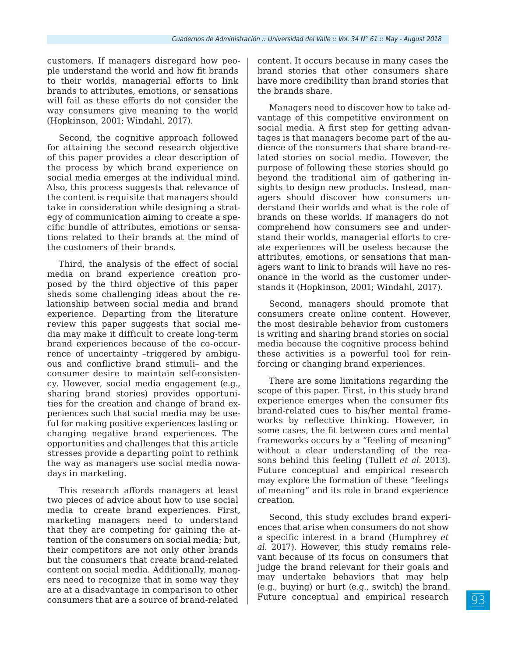customers. If managers disregard how people understand the world and how fit brands to their worlds, managerial efforts to link brands to attributes, emotions, or sensations will fail as these efforts do not consider the way consumers give meaning to the world (Hopkinson, 2001; Windahl, 2017).

Second, the cognitive approach followed for attaining the second research objective of this paper provides a clear description of the process by which brand experience on social media emerges at the individual mind. Also, this process suggests that relevance of the content is requisite that managers should take in consideration while designing a strategy of communication aiming to create a specific bundle of attributes, emotions or sensations related to their brands at the mind of the customers of their brands.

Third, the analysis of the effect of social media on brand experience creation proposed by the third objective of this paper sheds some challenging ideas about the relationship between social media and brand experience. Departing from the literature review this paper suggests that social media may make it difficult to create long-term brand experiences because of the co-occurrence of uncertainty –triggered by ambiguous and conflictive brand stimuli– and the consumer desire to maintain self-consistency. However, social media engagement (e.g., sharing brand stories) provides opportunities for the creation and change of brand experiences such that social media may be useful for making positive experiences lasting or changing negative brand experiences. The opportunities and challenges that this article stresses provide a departing point to rethink the way as managers use social media nowadays in marketing.

This research affords managers at least two pieces of advice about how to use social media to create brand experiences. First, marketing managers need to understand that they are competing for gaining the attention of the consumers on social media; but, their competitors are not only other brands but the consumers that create brand-related content on social media. Additionally, managers need to recognize that in some way they are at a disadvantage in comparison to other consumers that are a source of brand-related

content. It occurs because in many cases the brand stories that other consumers share have more credibility than brand stories that the brands share.

Managers need to discover how to take advantage of this competitive environment on social media. A first step for getting advantages is that managers become part of the audience of the consumers that share brand-related stories on social media. However, the purpose of following these stories should go beyond the traditional aim of gathering insights to design new products. Instead, managers should discover how consumers understand their worlds and what is the role of brands on these worlds. If managers do not comprehend how consumers see and understand their worlds, managerial efforts to create experiences will be useless because the attributes, emotions, or sensations that managers want to link to brands will have no resonance in the world as the customer understands it (Hopkinson, 2001; Windahl, 2017).

Second, managers should promote that consumers create online content. However, the most desirable behavior from customers is writing and sharing brand stories on social media because the cognitive process behind these activities is a powerful tool for reinforcing or changing brand experiences.

There are some limitations regarding the scope of this paper. First, in this study brand experience emerges when the consumer fits brand-related cues to his/her mental frameworks by reflective thinking. However, in some cases, the fit between cues and mental frameworks occurs by a "feeling of meaning" without a clear understanding of the reasons behind this feeling (Tullett *et al.* 2013). Future conceptual and empirical research may explore the formation of these "feelings of meaning" and its role in brand experience creation.

Second, this study excludes brand experiences that arise when consumers do not show a specific interest in a brand (Humphrey *et al.* 2017). However, this study remains relevant because of its focus on consumers that judge the brand relevant for their goals and may undertake behaviors that may help (e.g., buying) or hurt (e.g., switch) the brand. Future conceptual and empirical research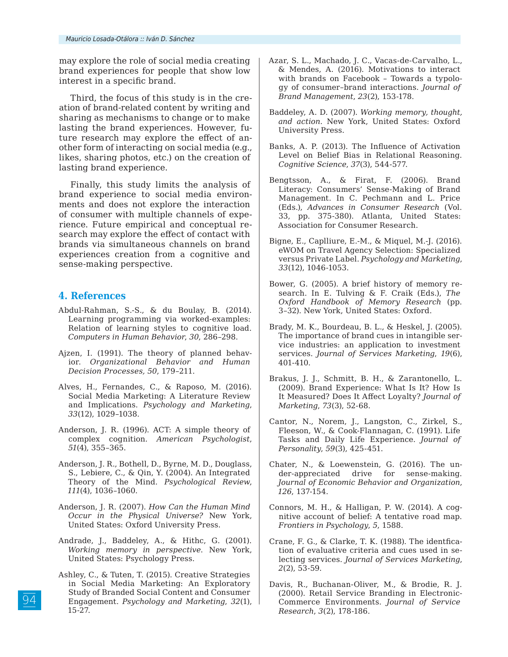may explore the role of social media creating brand experiences for people that show low interest in a specific brand.

Third, the focus of this study is in the creation of brand-related content by writing and sharing as mechanisms to change or to make lasting the brand experiences. However, future research may explore the effect of another form of interacting on social media (e.g., likes, sharing photos, etc.) on the creation of lasting brand experience.

Finally, this study limits the analysis of brand experience to social media environments and does not explore the interaction of consumer with multiple channels of experience. Future empirical and conceptual research may explore the effect of contact with brands via simultaneous channels on brand experiences creation from a cognitive and sense-making perspective.

### **4. References**

- Abdul-Rahman, S.-S., & du Boulay, B. (2014). Learning programming via worked-examples: Relation of learning styles to cognitive load. *Computers in Human Behavior*, *30*, 286–298.
- Ajzen, I. (1991). The theory of planned behavior. *Organizational Behavior and Human Decision Processes, 50*, 179–211.
- Alves, H., Fernandes, C., & Raposo, M. (2016). Social Media Marketing: A Literature Review and Implications. *Psychology and Marketing*, *33*(12), 1029–1038.
- Anderson, J. R. (1996). ACT: A simple theory of complex cognition. *American Psychologist*, *51*(4), 355–365.
- Anderson, J. R., Bothell, D., Byrne, M. D., Douglass, S., Lebiere, C., & Qin, Y. (2004). An Integrated Theory of the Mind. *Psychological Review*, *111*(4), 1036–1060.
- Anderson, J. R. (2007). *How Can the Human Mind Occur in the Physical Universe?* New York, United States: Oxford University Press.
- Andrade, J., Baddeley, A., & Hithc, G. (2001). *Working memory in perspective*. New York, United States: Psychology Press.
- Ashley, C., & Tuten, T. (2015). Creative Strategies in Social Media Marketing: An Exploratory Study of Branded Social Content and Consumer Engagement. *Psychology and Marketing*, *32*(1), 15-27.
- Azar, S. L., Machado, J. C., Vacas-de-Carvalho, L., & Mendes, A. (2016). Motivations to interact with brands on Facebook – Towards a typology of consumer–brand interactions. *Journal of Brand Management*, *23*(2), 153-178.
- Baddeley, A. D. (2007). *Working memory, thought, and action*. New York, United States: Oxford University Press.
- Banks, A. P. (2013). The Influence of Activation Level on Belief Bias in Relational Reasoning. *Cognitive Science*, *37*(3), 544-577.
- Bengtsson, A., & Firat, F. (2006). Brand Literacy: Consumers' Sense-Making of Brand Management. In C. Pechmann and L. Price (Eds.), *Advances in Consumer Research* (Vol. 33, pp. 375-380). Atlanta, United States: Association for Consumer Research.
- Bigne, E., Caplliure, E.-M., & Miquel, M.-J. (2016). eWOM on Travel Agency Selection: Specialized versus Private Label. *Psychology and Marketing*, *33*(12), 1046-1053.
- Bower, G. (2005). A brief history of memory research. In E. Tulving & F. Craik (Eds.), *The Oxford Handbook of Memory Research* (pp. 3–32). New York, United States: Oxford.
- Brady, M. K., Bourdeau, B. L., & Heskel, J. (2005). The importance of brand cues in intangible service industries: an application to investment services. *Journal of Services Marketing*, *19*(6), 401-410.
- Brakus, J. J., Schmitt, B. H., & Zarantonello, L. (2009). Brand Experience: What Is It? How Is It Measured? Does It Affect Loyalty? *Journal of Marketing*, *73*(3), 52-68.
- Cantor, N., Norem, J., Langston, C., Zirkel, S., Fleeson, W., & Cook-Flannagan, C. (1991). Life Tasks and Daily Life Experience. *Journal of Personality*, *59*(3), 425-451.
- Chater, N., & Loewenstein, G. (2016). The under-appreciated drive for sense-making. *Journal of Economic Behavior and Organization*, *126*, 137-154.
- Connors, M. H., & Halligan, P. W. (2014). A cognitive account of belief: A tentative road map. *Frontiers in Psychology*, *5*, 1588.
- Crane, F. G., & Clarke, T. K. (1988). The identfication of evaluative criteria and cues used in selecting services. *Journal of Services Marketing*, *2*(2), 53-59.
- Davis, R., Buchanan-Oliver, M., & Brodie, R. J. (2000). Retail Service Branding in Electronic-Commerce Environments. *Journal of Service Research*, *3*(2), 178-186.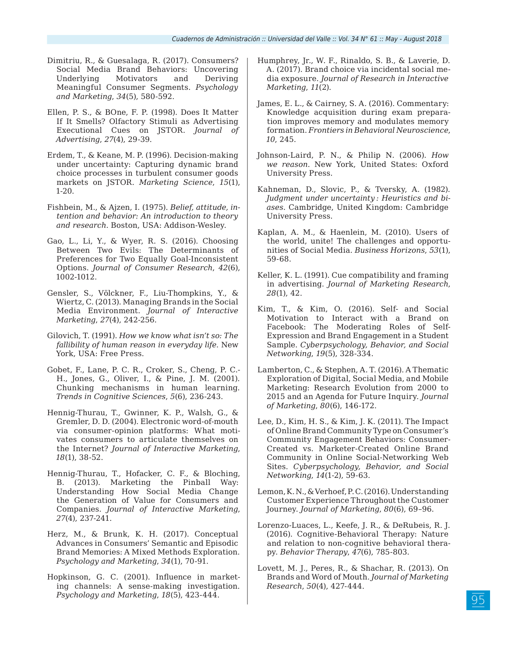- Dimitriu, R., & Guesalaga, R. (2017). Consumers? Social Media Brand Behaviors: Uncovering Underlying Motivators and Deriving Meaningful Consumer Segments. *Psychology and Marketing*, *34*(5), 580-592.
- Ellen, P. S., & BOne, F. P. (1998). Does It Matter If It Smells? Olfactory Stimuli as Advertising Executional Cues on JSTOR. *Journal of Advertising*, *27*(4), 29-39.
- Erdem, T., & Keane, M. P. (1996). Decision-making under uncertainty: Capturing dynamic brand choice processes in turbulent consumer goods markets on JSTOR. *Marketing Science*, *15*(1), 1-20.
- Fishbein, M., & Ajzen, I. (1975). *Belief, attitude, intention and behavior: An introduction to theory and research*. Boston, USA: Addison-Wesley.
- Gao, L., Li, Y., & Wyer, R. S. (2016). Choosing Between Two Evils: The Determinants of Preferences for Two Equally Goal-Inconsistent Options. *Journal of Consumer Research*, *42*(6), 1002-1012.
- Gensler, S., Völckner, F., Liu-Thompkins, Y., & Wiertz, C. (2013). Managing Brands in the Social Media Environment. *Journal of Interactive Marketing*, *27*(4), 242-256.
- Gilovich, T. (1991). *How we know what isn't so: The fallibility of human reason in everyday life*. New York, USA: Free Press.
- Gobet, F., Lane, P. C. R., Croker, S., Cheng, P. C.- H., Jones, G., Oliver, I., & Pine, J. M. (2001). Chunking mechanisms in human learning. *Trends in Cognitive Sciences*, *5*(6), 236-243.
- Hennig-Thurau, T., Gwinner, K. P., Walsh, G., & Gremler, D. D. (2004). Electronic word-of-mouth via consumer-opinion platforms: What motivates consumers to articulate themselves on the Internet? *Journal of Interactive Marketing*, *18*(1), 38-52.
- Hennig-Thurau, T., Hofacker, C. F., & Bloching, B. (2013). Marketing the Pinball Way: Understanding How Social Media Change the Generation of Value for Consumers and Companies. *Journal of Interactive Marketing*, *27*(4), 237-241.
- Herz, M., & Brunk, K. H. (2017). Conceptual Advances in Consumers' Semantic and Episodic Brand Memories: A Mixed Methods Exploration. *Psychology and Marketing*, *34*(1), 70-91.
- Hopkinson, G. C. (2001). Influence in marketing channels: A sense-making investigation. *Psychology and Marketing*, *18*(5), 423-444.
- Humphrey, Jr., W. F., Rinaldo, S. B., & Laverie, D. A. (2017). Brand choice via incidental social media exposure. *Journal of Research in Interactive Marketing*, *11*(2).
- James, E. L., & Cairney, S. A. (2016). Commentary: Knowledge acquisition during exam preparation improves memory and modulates memory formation. *Frontiers in Behavioral Neuroscience*, *10*, 245.
- Johnson-Laird, P. N., & Philip N. (2006). *How we reason*. New York, United States: Oxford University Press.
- Kahneman, D., Slovic, P., & Tversky, A. (1982). *Judgment under uncertainty : Heuristics and biases*. Cambridge, United Kingdom: Cambridge University Press.
- Kaplan, A. M., & Haenlein, M. (2010). Users of the world, unite! The challenges and opportunities of Social Media. *Business Horizons*, *53*(1), 59-68.
- Keller, K. L. (1991). Cue compatibility and framing in advertising. *Journal of Marketing Research*, *28*(1), 42.
- Kim, T., & Kim, O. (2016). Self- and Social Motivation to Interact with a Brand on Facebook: The Moderating Roles of Self-Expression and Brand Engagement in a Student Sample. *Cyberpsychology, Behavior, and Social Networking*, *19*(5), 328-334.
- Lamberton, C., & Stephen, A. T. (2016). A Thematic Exploration of Digital, Social Media, and Mobile Marketing: Research Evolution from 2000 to 2015 and an Agenda for Future Inquiry. *Journal of Marketing*, *80*(6), 146-172.
- Lee, D., Kim, H. S., & Kim, J. K. (2011). The Impact of Online Brand Community Type on Consumer's Community Engagement Behaviors: Consumer-Created vs. Marketer-Created Online Brand Community in Online Social-Networking Web Sites. *Cyberpsychology, Behavior, and Social Networking*, *14*(1-2), 59-63.
- Lemon, K. N., & Verhoef, P. C. (2016). Understanding Customer Experience Throughout the Customer Journey. *Journal of Marketing*, *80*(6), 69–96.
- Lorenzo-Luaces, L., Keefe, J. R., & DeRubeis, R. J. (2016). Cognitive-Behavioral Therapy: Nature and relation to non-cognitive behavioral therapy. *Behavior Therapy*, *47*(6), 785-803.
- Lovett, M. J., Peres, R., & Shachar, R. (2013). On Brands and Word of Mouth. *Journal of Marketing Research*, *50*(4), 427-444.